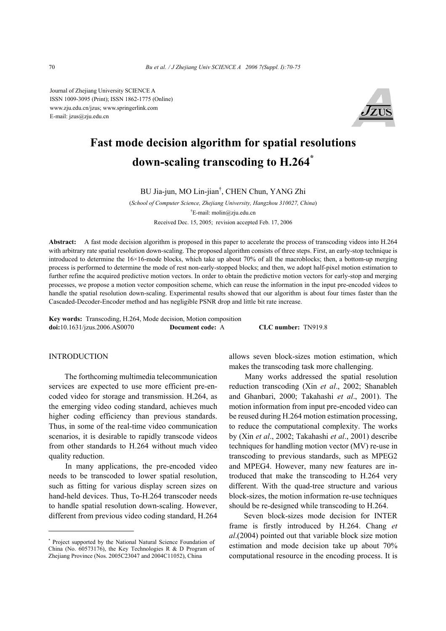Journal of Zhejiang University SCIENCE A ISSN 1009-3095 (Print); ISSN 1862-1775 (Online) www.zju.edu.cn/jzus; www.springerlink.com E-mail: jzus@zju.edu.cn



# **Fast mode decision algorithm for spatial resolutions down-scaling transcoding to H.264\***

BU Jia-jun, MO Lin-jian† , CHEN Chun, YANG Zhi

(*School of Computer Science, Zhejiang University, Hangzhou 310027, China*) † E-mail: molin@zju.edu.cn Received Dec. 15, 2005; revision accepted Feb. 17, 2006

**Abstract:** A fast mode decision algorithm is proposed in this paper to accelerate the process of transcoding videos into H.264 with arbitrary rate spatial resolution down-scaling. The proposed algorithm consists of three steps. First, an early-stop technique is introduced to determine the 16×16-mode blocks, which take up about 70% of all the macroblocks; then, a bottom-up merging process is performed to determine the mode of rest non-early-stopped blocks; and then, we adopt half-pixel motion estimation to further refine the acquired predictive motion vectors. In order to obtain the predictive motion vectors for early-stop and merging processes, we propose a motion vector composition scheme, which can reuse the information in the input pre-encoded videos to handle the spatial resolution down-scaling. Experimental results showed that our algorithm is about four times faster than the Cascaded-Decoder-Encoder method and has negligible PSNR drop and little bit rate increase.

**Key words:** Transcoding, H.264, Mode decision, Motion composition **doi:**10.1631/jzus.2006.AS0070 **Document code:** A **CLC number:** TN919.8

## **INTRODUCTION**

The forthcoming multimedia telecommunication services are expected to use more efficient pre-encoded video for storage and transmission. H.264, as the emerging video coding standard, achieves much higher coding efficiency than previous standards. Thus, in some of the real-time video communication scenarios, it is desirable to rapidly transcode videos from other standards to H.264 without much video quality reduction.

In many applications, the pre-encoded video needs to be transcoded to lower spatial resolution, such as fitting for various display screen sizes on hand-held devices. Thus, To-H.264 transcoder needs to handle spatial resolution down-scaling. However, different from previous video coding standard, H.264 allows seven block-sizes motion estimation, which makes the transcoding task more challenging.

Many works addressed the spatial resolution reduction transcoding (Xin *et al*., 2002; Shanableh and Ghanbari, 2000; Takahashi *et al*., 2001). The motion information from input pre-encoded video can be reused during H.264 motion estimation processing, to reduce the computational complexity. The works by (Xin *et al*., 2002; Takahashi *et al*., 2001) describe techniques for handling motion vector (MV) re-use in transcoding to previous standards, such as MPEG2 and MPEG4. However, many new features are introduced that make the transcoding to H.264 very different. With the quad-tree structure and various block-sizes, the motion information re-use techniques should be re-designed while transcoding to H.264.

Seven block-sizes mode decision for INTER frame is firstly introduced by H.264. Chang *et al*.(2004) pointed out that variable block size motion estimation and mode decision take up about 70% computational resource in the encoding process. It is

<sup>\*</sup> Project supported by the National Natural Science Foundation of China (No. 60573176), the Key Technologies R & D Program of Zhejiang Province (Nos. 2005C23047 and 2004C11052), China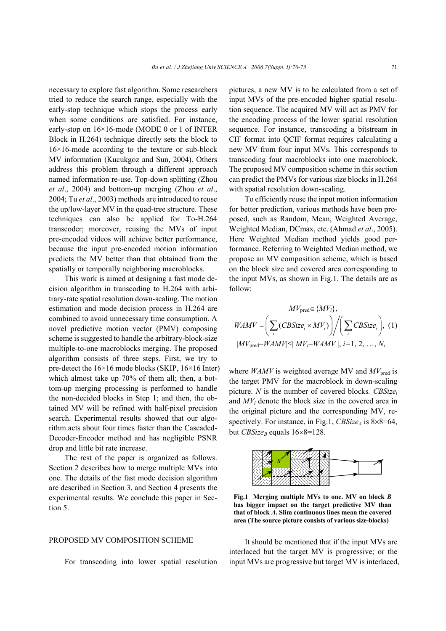necessary to explore fast algorithm. Some researchers tried to reduce the search range, especially with the early-stop technique which stops the process early when some conditions are satisfied. For instance, early-stop on 16×16-mode (MODE 0 or 1 of INTER Block in H.264) technique directly sets the block to  $16\times16$ -mode according to the texture or sub-block MV information (Kucukgoz and Sun, 2004). Others address this problem through a different approach named information re-use. Top-down splitting (Zhou *et al*., 2004) and bottom-up merging (Zhou *et al*., 2004; Tu *et al*., 2003) methods are introduced to reuse the up/low-layer MV in the quad-tree structure. These techniques can also be applied for To-H.264 transcoder; moreover, reusing the MVs of input pre-encoded videos will achieve better performance, because the input pre-encoded motion information predicts the MV better than that obtained from the spatially or temporally neighboring macroblocks.

This work is aimed at designing a fast mode decision algorithm in transcoding to H.264 with arbitrary-rate spatial resolution down-scaling. The motion estimation and mode decision process in H.264 are combined to avoid unnecessary time consumption. A novel predictive motion vector (PMV) composing scheme is suggested to handle the arbitrary-block-size multiple-to-one macroblocks merging. The proposed algorithm consists of three steps. First, we try to pre-detect the 16×16 mode blocks (SKIP, 16×16 Inter) which almost take up 70% of them all; then, a bottom-up merging processing is performed to handle the non-decided blocks in Step 1; and then, the obtained MV will be refined with half-pixel precision search. Experimental results showed that our algorithm acts about four times faster than the Cascaded-Decoder-Encoder method and has negligible PSNR drop and little bit rate increase.

The rest of the paper is organized as follows. Section 2 describes how to merge multiple MVs into one. The details of the fast mode decision algorithm are described in Section 3, and Section 4 presents the experimental results. We conclude this paper in Section 5.

#### PROPOSED MV COMPOSITION SCHEME

For transcoding into lower spatial resolution

pictures, a new MV is to be calculated from a set of input MVs of the pre-encoded higher spatial resolution sequence. The acquired MV will act as PMV for the encoding process of the lower spatial resolution sequence. For instance, transcoding a bitstream in CIF format into QCIF format requires calculating a new MV from four input MVs. This corresponds to transcoding four macroblocks into one macroblock. The proposed MV composition scheme in this section can predict the PMVs for various size blocks in H.264 with spatial resolution down-scaling.

To efficiently reuse the input motion information for better prediction, various methods have been proposed, such as Random, Mean, Weighted Average, Weighted Median, DCmax, etc. (Ahmad *et al*., 2005). Here Weighted Median method yields good performance. Referring to Weighted Median method, we propose an MV composition scheme, which is based on the block size and covered area corresponding to the input MVs, as shown in Fig.1. The details are as follow:

$$
MV_{\text{pred}} \in \{MV_i\},
$$

$$
WAMV = \left(\sum_{i} (CBSize_i \times MV_i)\right) / \left(\sum_{i} CBSize_i\right), (1)
$$

$$
|MV_{\text{pred}} - WAMV| \leq |MV_i - WAMV|, i = 1, 2, ..., N,
$$

where *WAMV* is weighted average MV and  $MV<sub>pred</sub>$  is the target PMV for the macroblock in down-scaling picture. *N* is the number of covered blocks*. CBSizei* and *MVi* denote the block size in the covered area in the original picture and the corresponding MV, respectively. For instance, in Fig.1, *CBSize<sub>A</sub>* is 8×8=64, but *CBSize<sub>B</sub>* equals  $16\times8=128$ .



**Fig.1 Merging multiple MVs to one. MV on block** *B* **has bigger impact on the target predictive MV than that of block** *A***. Slim continuous lines mean the covered area (The source picture consists of various size-blocks)**

It should be mentioned that if the input MVs are interlaced but the target MV is progressive; or the input MVs are progressive but target MV is interlaced,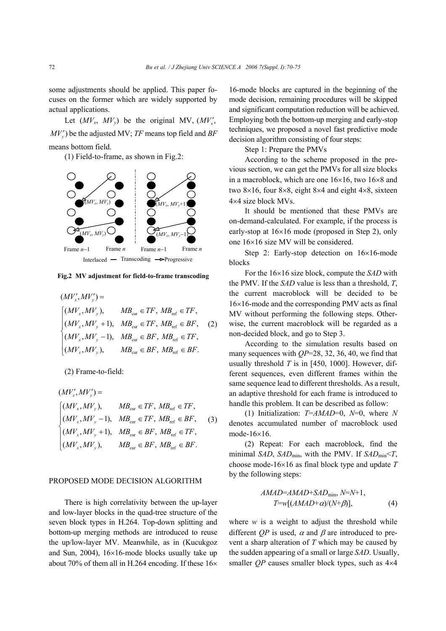some adjustments should be applied. This paper focuses on the former which are widely supported by actual applications.

Let  $(MV_x, MV_y)$  be the original MV,  $(MV'_x,$  $MV'_{y}$ ) be the adjusted MV; *TF* means top field and *BF* means bottom field.

(1) Field-to-frame, as shown in Fig.2:



**Fig.2 MV adjustment for field-to-frame transcoding**

$$
(MV'_x, MV'_y) =
$$
  
\n
$$
\begin{cases}\n(MV_x, MV_y), & MB_{\text{cur}} \in TF, MB_{\text{ref}} \in TF, \\
(MV_x, MV_y + 1), & MB_{\text{cur}} \in TF, MB_{\text{ref}} \in BF, \\
(MV_x, MV_y - 1), & MB_{\text{cur}} \in BF, MB_{\text{ref}} \in TF, \\
(MV_x, MV_y), & MB_{\text{cur}} \in BF, MB_{\text{ref}} \in BF.\n\end{cases}
$$
\n(2)

(2) Frame-to-field:

$$
(MV'_x, MV'_y) =
$$
  
\n
$$
\begin{cases}\n(MV_x, MV_y), & MB_{\text{cur}} \in TF, MB_{\text{ref}} \in TF, \\
(MV_x, MV_y - 1), & MB_{\text{cur}} \in TF, MB_{\text{ref}} \in BF, \\
(MV_x, MV_y + 1), & MB_{\text{cur}} \in BF, MB_{\text{ref}} \in TF, \\
(MV_x, MV_y), & MB_{\text{cur}} \in BF, MB_{\text{ref}} \in BF.\n\end{cases}
$$
\n(3)

#### PROPOSED MODE DECISION ALGORITHM

There is high correlativity between the up-layer and low-layer blocks in the quad-tree structure of the seven block types in H.264. Top-down splitting and bottom-up merging methods are introduced to reuse the up/low-layer MV. Meanwhile, as in (Kucukgoz and Sun, 2004), 16×16-mode blocks usually take up about 70% of them all in H.264 encoding. If these 16×

16-mode blocks are captured in the beginning of the mode decision, remaining procedures will be skipped and significant computation reduction will be achieved. Employing both the bottom-up merging and early-stop techniques, we proposed a novel fast predictive mode decision algorithm consisting of four steps:

Step 1: Prepare the PMVs

According to the scheme proposed in the previous section, we can get the PMVs for all size blocks in a macroblock, which are one 16×16, two 16×8 and two 8×16, four 8×8, eight 8×4 and eight 4×8, sixteen 4×4 size block MVs.

It should be mentioned that these PMVs are on-demand-calculated. For example, if the process is early-stop at 16×16 mode (proposed in Step 2), only one 16×16 size MV will be considered.

Step 2: Early-stop detection on 16×16-mode blocks

For the 16×16 size block, compute the *SAD* with the PMV. If the *SAD* value is less than a threshold, *T*, the current macroblock will be decided to be 16×16-mode and the corresponding PMV acts as final MV without performing the following steps. Otherwise, the current macroblock will be regarded as a non-decided block, and go to Step 3.

According to the simulation results based on many sequences with *QP*=28, 32, 36, 40, we find that usually threshold *T* is in [450, 1000]. However, different sequences, even different frames within the same sequence lead to different thresholds. As a result, an adaptive threshold for each frame is introduced to handle this problem. It can be described as follow:

(1) Initialization: *T*=*AMAD*=0, *N*=0, where *N* denotes accumulated number of macroblock used mode-16×16.

(2) Repeat: For each macroblock, find the minimal *SAD*, *SAD*min, with the PMV. If *SAD*min<*T*, choose mode-16×16 as final block type and update *T* by the following steps:

$$
AMAD=AMAD+SAD_{\min}, N=N+1,
$$
  
\n
$$
T=w[(AMAD+\alpha)/(N+\beta)], \qquad (4)
$$

where  $w$  is a weight to adjust the threshold while different *QP* is used,  $\alpha$  and  $\beta$  are introduced to prevent a sharp alteration of *T* which may be caused by the sudden appearing of a small or large *SAD*. Usually, smaller *QP* causes smaller block types, such as  $4\times4$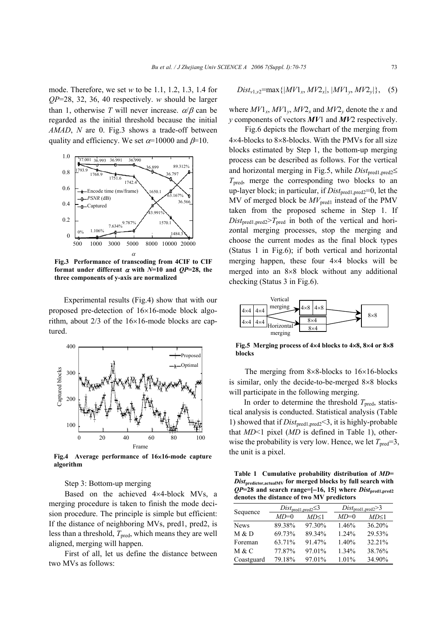mode. Therefore, we set *w* to be 1.1, 1.2, 1.3, 1.4 for *QP*=28, 32, 36, 40 respectively. *w* should be larger than 1, otherwise *T* will never increase.  $\alpha/\beta$  can be regarded as the initial threshold because the initial *AMAD*, *N* are 0. Fig.3 shows a trade-off between quality and efficiency. We set  $\alpha$ =10000 and  $\beta$ =10.



**Fig.3 Performance of transcoding from 4CIF to CIF format under different**  $\alpha$  **with**  $N=10$  **and**  $OP=28$ **, the three components of y-axis are normalized** 

Experimental results (Fig.4) show that with our proposed pre-detection of 16×16-mode block algorithm, about 2/3 of the 16×16-mode blocks are captured.



**Fig.4 Average performance of 16**×**16-mode capture algorithm** 

Step 3: Bottom-up merging

Based on the achieved 4×4-block MVs, a merging procedure is taken to finish the mode decision procedure. The principle is simple but efficient: If the distance of neighboring MVs, pred1, pred2, is less than a threshold,  $T_{pred}$ , which means they are well aligned, merging will happen.

First of all, let us define the distance between two MVs as follows:

$$
Dist_{v1,v2} = \max\{|MV1_x, MV2_x|, |MV1_y, MV2_y|\}, \quad (5)
$$

where  $MV1_x$ ,  $MV1_y$ ,  $MV2_x$  and  $MV2_y$  denote the *x* and *y* components of vectors *MV*1 and *MV*2 respectively.

Fig.6 depicts the flowchart of the merging from 4×4-blocks to 8×8-blocks. With the PMVs for all size blocks estimated by Step 1, the bottom-up merging process can be described as follows. For the vertical and horizontal merging in Fig.5, while *Dist*<sub>pred1,pred2</sub>≤  $T<sub>pred</sub>$ , merge the corresponding two blocks to an up-layer block; in particular, if  $Dist_{pred1,pred2}=0$ , let the MV of merged block be  $MV<sub>pred1</sub>$  instead of the PMV taken from the proposed scheme in Step 1. If  $Dist_{\text{pred1,pred2}} > T_{\text{pred}}$  in both of the vertical and horizontal merging processes, stop the merging and choose the current modes as the final block types (Status 1 in Fig.6); if both vertical and horizontal merging happen, these four 4×4 blocks will be merged into an 8×8 block without any additional checking (Status 3 in Fig.6).



**Fig.5 Merging process of 4**×**4 blocks to 4**×**8, 8**×**4 or 8**×**8 blocks** 

The merging from 8×8-blocks to 16×16-blocks is similar, only the decide-to-be-merged 8×8 blocks will participate in the following merging.

In order to determine the threshold  $T<sub>pred</sub>$ , statistical analysis is conducted. Statistical analysis (Table 1) showed that if *Dist*pred1,pred2<3, it is highly-probable that *MD*<1 pixel (*MD* is defined in Table 1), otherwise the probability is very low. Hence, we let  $T_{pred}=3$ , the unit is a pixel.

**Table 1 Cumulative probability distribution of** *MD***=**  *Dist***predictor,actualMV for merged blocks by full search with**   $QP=28$  and search range= $[-16, 15]$  where  $Dist_{\text{pred1, pred2}}$ **denotes the distance of two MV predictors** 

| Sequence    |        | $Dist_{\text{pred1}, \text{pred2}} \leq 3$ | $Dist_{\text{pred1}, \text{pred2}} > 3$ |        |  |
|-------------|--------|--------------------------------------------|-----------------------------------------|--------|--|
|             | $MD=0$ | MD<1                                       | $MD=0$                                  | MD<1   |  |
| <b>News</b> | 89.38% | 97.30%                                     | 1.46%                                   | 36.20% |  |
| M & D       | 69.73% | 89.34%                                     | 1.24%                                   | 29.53% |  |
| Foreman     | 63.71% | 91.47%                                     | 1.40%                                   | 32.21% |  |
| M & C       | 77.87% | 97.01%                                     | 1.34%                                   | 38.76% |  |
| Coastguard  | 79.18% | 97.01%                                     | 1.01%                                   | 34.90% |  |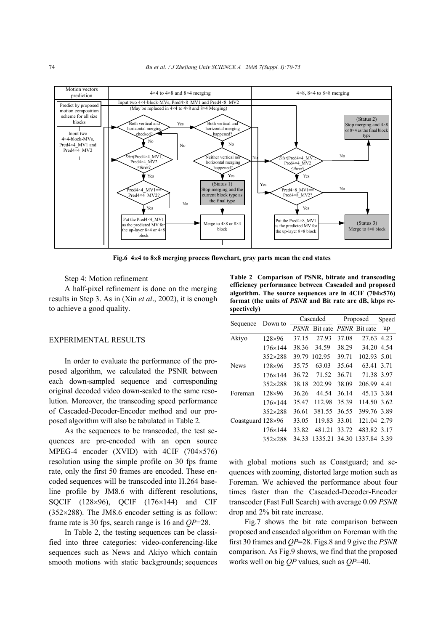

**Fig.6 4**×**4 to 8**×**8 merging process flowchart, gray parts mean the end states**

Step 4: Motion refinement

A half-pixel refinement is done on the merging results in Step 3. As in (Xin *et al*., 2002), it is enough to achieve a good quality.

## EXPERIMENTAL RESULTS

In order to evaluate the performance of the proposed algorithm, we calculated the PSNR between each down-sampled sequence and corresponding original decoded video down-scaled to the same resolution. Moreover, the transcoding speed performance of Cascaded-Decoder-Encoder method and our proposed algorithm will also be tabulated in Table 2.

As the sequences to be transcoded, the test sequences are pre-encoded with an open source MPEG-4 encoder (XVID) with 4CIF (704×576) resolution using the simple profile on 30 fps frame rate, only the first 50 frames are encoded. These encoded sequences will be transcoded into H.264 baseline profile by JM8.6 with different resolutions, SQCIF (128×96), QCIF (176×144) and CIF  $(352\times288)$ . The JM8.6 encoder setting is as follow: frame rate is 30 fps, search range is 16 and *QP*=28.

In Table 2, the testing sequences can be classified into three categories: video-conferencing-like sequences such as News and Akiyo which contain smooth motions with static backgrounds; sequences

**Table 2 Comparison of PSNR, bitrate and transcoding efficiency performance between Cascaded and proposed algorithm. The source sequences are in 4CIF (704**×**576) format (the units of** *PSNR* **and Bit rate are dB, kbps respectively)** 

| Sequence                 | Down to          | Cascaded    |                               | Proposed |                            | Speed |
|--------------------------|------------------|-------------|-------------------------------|----------|----------------------------|-------|
|                          |                  | <i>PSNR</i> | Bit rate <i>PSNR</i> Bit rate |          |                            | up    |
| Akiyo                    | $128\times96$    | 37.15       | 27.93                         | 37.08    | 27.63 4.23                 |       |
|                          | $176 \times 144$ | 38.36       | 34.59                         | 38.29    | 34.20 4.54                 |       |
|                          | $352\times288$   | 39.79       | 102.95                        | 39.71    | 102.93 5.01                |       |
| <b>News</b>              | $128\times96$    | 35.75       | 63.03                         | 35.64    | 63.41                      | 3.71  |
|                          | $176 \times 144$ | 36.72       | 71.52                         | 36.71    | 71.38 3.97                 |       |
|                          | $352\times288$   | 38.18       | 202.99                        | 38.09    | 206.99 4.41                |       |
| Foreman                  | $128\times96$    | 36.26       | 44 54                         | 36.14    | 45.13 3.84                 |       |
|                          | $176 \times 144$ | 35.47       | 112.98                        | 35.39    | 114.50 3.62                |       |
|                          | $352\times288$   | 36.61       | 381.55                        | 36.55    | 399.76 3.89                |       |
| Coastguard $128\times96$ |                  | 33.05       | 119.83                        | 33.01    | 121.04 2.79                |       |
|                          | $176 \times 144$ | 33.82       | 481 21                        | 33 72    | 483.82 3.17                |       |
|                          | $352\times288$   | 34.33       |                               |          | 1335.21 34.30 1337.84 3.39 |       |

with global motions such as Coastguard; and sequences with zooming, distorted large motion such as Foreman. We achieved the performance about four times faster than the Cascaded-Decoder-Encoder transcoder (Fast Full Search) with average 0.09 *PSNR* drop and 2% bit rate increase.

Fig.7 shows the bit rate comparison between proposed and cascaded algorithm on Foreman with the first 30 frames and *QP*=28. Figs.8 and 9 give the *PSNR* comparison. As Fig.9 shows, we find that the proposed works well on big *QP* values, such as *QP*=40.